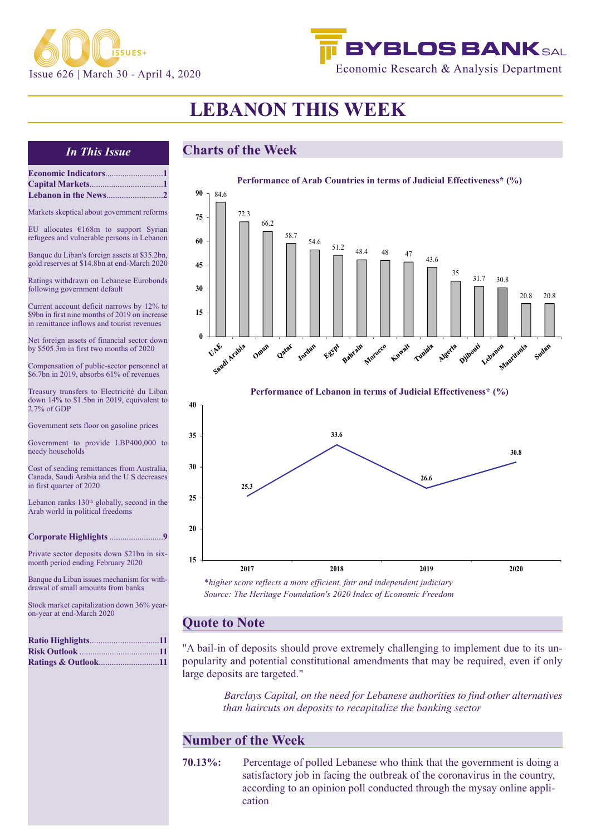

# **BYBLOS BANKSAL** Economic Research & Analysis Department

# **LEBANON THIS WEEK**

**Economic Indicators**...........................**1 Capital Markets**..................................**1 Lebanon in the News**..........................**2**

### *In This Issue* **Charts of the Week**

| Markets skeptical about government reforms                                                                                                | 7           |
|-------------------------------------------------------------------------------------------------------------------------------------------|-------------|
| EU allocates $£168m$ to support Syrian<br>refugees and vulnerable persons in Lebanon                                                      | 6           |
| Banque du Liban's foreign assets at \$35.2bn,<br>gold reserves at \$14.8bn at end-March 2020                                              | 4           |
| Ratings withdrawn on Lebanese Eurobonds<br>following government default                                                                   | 3           |
| Current account deficit narrows by 12% to<br>\$9bn in first nine months of 2019 on increase<br>in remittance inflows and tourist revenues | 1           |
| Net foreign assets of financial sector down<br>by \$505.3m in first two months of 2020                                                    |             |
| Compensation of public-sector personnel at<br>\$6.7bn in 2019, absorbs 61% of revenues                                                    |             |
| Treasury transfers to Electricité du Liban<br>down 14% to \$1.5bn in 2019, equivalent to<br>$2.7\%$ of GDP                                | 40          |
| Government sets floor on gasoline prices                                                                                                  | 35          |
| Government to provide LBP400,000 to<br>needy households                                                                                   |             |
| Cost of sending remittances from Australia,<br>Canada, Saudi Arabia and the U.S decreases<br>in first quarter of 2020                     | 30          |
| Lebanon ranks 130 <sup>th</sup> globally, second in the<br>Arab world in political freedoms                                               | 25          |
| Corporate Highlights 9                                                                                                                    | 20          |
| Private sector deposits down \$21bn in six-<br>month period ending February 2020                                                          | 15          |
| Banque du Liban issues mechanism for with-<br>drawal of small amounts from banks                                                          |             |
| Stock market capitalization down 36% year-<br>on-year at end-March 2020                                                                   |             |
|                                                                                                                                           |             |
| Ratio Highlights11<br><b>Ratings &amp; Outlook11</b>                                                                                      | "A 1<br>pop |



**Performance of Lebanon in terms of Judicial Effectiveness\* (%)**



*\*higher score reflects a more efficient, fair and independent judiciary Source: The Heritage Foundation's 2020 Index of Economic Freedom*

### **note to Note**

bail-in of deposits should prove extremely challenging to implement due to its unpularity and potential constitutional amendments that may be required, even if only large deposits are targeted."

> *Barclays Capital, on the need for Lebanese authorities to find other alternatives than haircuts on deposits to recapitalize the banking sector*

### **Number of the Week**

**70.13%:** Percentage of polled Lebanese who think that the government is doing a satisfactory job in facing the outbreak of the coronavirus in the country, according to an opinion poll conducted through the mysay online application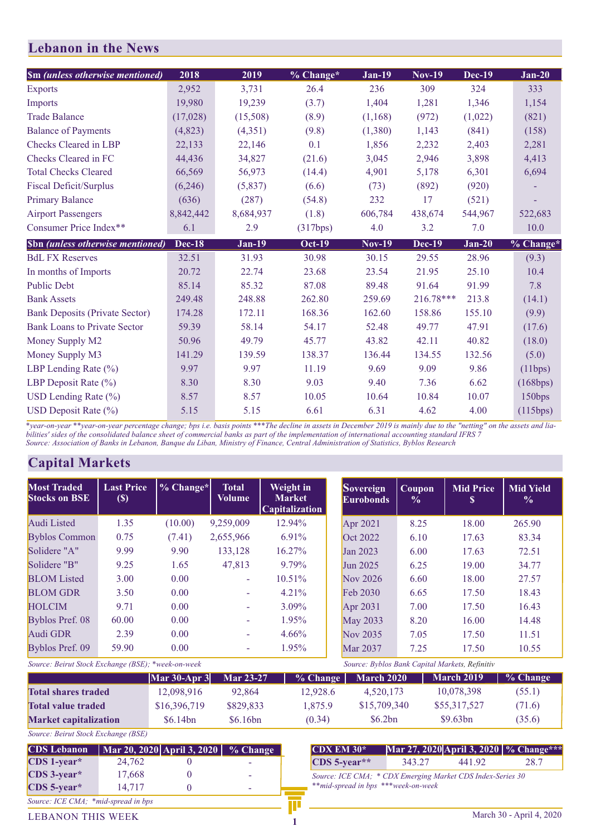| <b>Sm</b> (unless otherwise mentioned)  | 2018          | 2019          | % Change*     | <b>Jan-19</b> | <b>Nov-19</b> | <b>Dec-19</b> | $Jan-20$  |
|-----------------------------------------|---------------|---------------|---------------|---------------|---------------|---------------|-----------|
| <b>Exports</b>                          | 2,952         | 3,731         | 26.4          | 236           | 309           | 324           | 333       |
| <b>Imports</b>                          | 19,980        | 19,239        | (3.7)         | 1,404         | 1,281         | 1,346         | 1,154     |
| <b>Trade Balance</b>                    | (17,028)      | (15,508)      | (8.9)         | (1,168)       | (972)         | (1,022)       | (821)     |
| <b>Balance of Payments</b>              | (4,823)       | (4,351)       | (9.8)         | (1,380)       | 1,143         | (841)         | (158)     |
| Checks Cleared in LBP                   | 22,133        | 22,146        | 0.1           | 1,856         | 2,232         | 2,403         | 2,281     |
| Checks Cleared in FC                    | 44,436        | 34,827        | (21.6)        | 3,045         | 2,946         | 3,898         | 4,413     |
| <b>Total Checks Cleared</b>             | 66,569        | 56,973        | (14.4)        | 4,901         | 5,178         | 6,301         | 6,694     |
| <b>Fiscal Deficit/Surplus</b>           | (6,246)       | (5,837)       | (6.6)         | (73)          | (892)         | (920)         |           |
| <b>Primary Balance</b>                  | (636)         | (287)         | (54.8)        | 232           | 17            | (521)         |           |
| <b>Airport Passengers</b>               | 8,842,442     | 8,684,937     | (1.8)         | 606,784       | 438,674       | 544,967       | 522,683   |
| Consumer Price Index**                  | 6.1           | 2.9           | (317bps)      | 4.0           | 3.2           | 7.0           | 10.0      |
| <b>Sbn</b> (unless otherwise mentioned) | <b>Dec-18</b> | <b>Jan-19</b> | <b>Oct-19</b> | <b>Nov-19</b> | <b>Dec-19</b> | $Jan-20$      | % Change* |
|                                         |               |               |               |               |               |               |           |
| <b>BdL FX Reserves</b>                  | 32.51         | 31.93         | 30.98         | 30.15         | 29.55         | 28.96         | (9.3)     |
| In months of Imports                    | 20.72         | 22.74         | 23.68         | 23.54         | 21.95         | 25.10         | 10.4      |
| <b>Public Debt</b>                      | 85.14         | 85.32         | 87.08         | 89.48         | 91.64         | 91.99         | 7.8       |
| <b>Bank Assets</b>                      | 249.48        | 248.88        | 262.80        | 259.69        | 216.78***     | 213.8         | (14.1)    |
| <b>Bank Deposits (Private Sector)</b>   | 174.28        | 172.11        | 168.36        | 162.60        | 158.86        | 155.10        | (9.9)     |
| <b>Bank Loans to Private Sector</b>     | 59.39         | 58.14         | 54.17         | 52.48         | 49.77         | 47.91         | (17.6)    |
| Money Supply M2                         | 50.96         | 49.79         | 45.77         | 43.82         | 42.11         | 40.82         | (18.0)    |
| Money Supply M3                         | 141.29        | 139.59        | 138.37        | 136.44        | 134.55        | 132.56        | (5.0)     |
| LBP Lending Rate $(\% )$                | 9.97          | 9.97          | 11.19         | 9.69          | 9.09          | 9.86          | (11bps)   |
| LBP Deposit Rate $(\% )$                | 8.30          | 8.30          | 9.03          | 9.40          | 7.36          | 6.62          | (168bps)  |
| USD Lending Rate $(\% )$                | 8.57          | 8.57          | 10.05         | 10.64         | 10.84         | 10.07         | 150bps    |

*\*year-on-year \*\*year-on-year percentage change; bps i.e. basis points \*\*\*The decline in assets in December 2019 is mainly due to the "netting" on the assets and liabilities' sides of the consolidated balance sheet of commercial banks as part of the implementation of international accounting standard IFRS 7 Source: Association of Banks in Lebanon, Banque du Liban, Ministry of Finance, Central Administration of Statistics, Byblos Research* 

### **Capital Markets**

| <b>Most Traded</b><br><b>Stocks on BSE</b> | <b>Last Price</b><br>$(\$)$ | $\%$ Change* | <b>Total</b><br>Volume | Weight in<br><b>Market</b><br><b>Capitalization</b> | <b>Sovereign</b><br><b>Eurobonds</b> | Coupon<br>$\frac{0}{0}$ | <b>Mid Price</b><br>S | <b>Mid Yield</b><br>$\frac{0}{0}$ |
|--------------------------------------------|-----------------------------|--------------|------------------------|-----------------------------------------------------|--------------------------------------|-------------------------|-----------------------|-----------------------------------|
| Audi Listed                                | 1.35                        | (10.00)      | 9,259,009              | 12.94%                                              | Apr 2021                             | 8.25                    | 18.00                 | 265.90                            |
| <b>Byblos Common</b>                       | 0.75                        | (7.41)       | 2,655,966              | $6.91\%$                                            | Oct 2022                             | 6.10                    | 17.63                 | 83.34                             |
| Solidere "A"                               | 9.99                        | 9.90         | 133,128                | 16.27%                                              | Jan 2023                             | 6.00                    | 17.63                 | 72.51                             |
| Solidere "B"                               | 9.25                        | 1.65         | 47,813                 | 9.79%                                               | Jun 2025                             | 6.25                    | 19.00                 | 34.77                             |
| <b>BLOM</b> Listed                         | 3.00                        | 0.00         | ٠                      | $10.51\%$                                           | Nov 2026                             | 6.60                    | 18.00                 | 27.57                             |
| <b>BLOM GDR</b>                            | 3.50                        | 0.00         | ÷                      | $4.21\%$                                            | Feb 2030                             | 6.65                    | 17.50                 | 18.43                             |
| <b>HOLCIM</b>                              | 9.71                        | 0.00         |                        | $3.09\%$                                            | Apr 2031                             | 7.00                    | 17.50                 | 16.43                             |
| Byblos Pref. 08                            | 60.00                       | 0.00         | ÷                      | $1.95\%$                                            | <b>May 2033</b>                      | 8.20                    | 16.00                 | 14.48                             |
| Audi GDR                                   | 2.39                        | 0.00         | ٠                      | $4.66\%$                                            | Nov 2035                             | 7.05                    | 17.50                 | 11.51                             |
| Byblos Pref. 09                            | 59.90                       | 0.00         |                        | 1.95%                                               | <b>Mar 2037</b>                      | 7.25                    | 17.50                 | 10.55                             |

| Source: Beirut Stock Exchange (BSE); *week-on-week |                                               | Source: Byblos Bank Capital Markets, Refinitiv |             |              |                   |          |
|----------------------------------------------------|-----------------------------------------------|------------------------------------------------|-------------|--------------|-------------------|----------|
|                                                    | $\left \text{Mar } 30 - \text{Apr } 3\right $ | <b>Mar 23-27</b>                               | $\%$ Change | March 2020   | <b>March 2019</b> | % Change |
| <b>Total shares traded</b>                         | 12,098,916                                    | 92,864                                         | 12,928.6    | 4.520.173    | 10,078,398        | (55.1)   |
| <b>Total value traded</b>                          | \$16,396,719                                  | \$829,833                                      | 1,875.9     | \$15,709,340 | \$55,317,527      | (71.6)   |
| <b>Market capitalization</b>                       | \$6.14bn                                      | \$6.16bn                                       | (0.34)      | \$6.2bn      | \$9.63bn          | (35.6)   |

*Source: Beirut Stock Exchange (BSE)*

| <b>CDS Lebanon</b>                  |        | Mar 20, 2020   April 3, 2020   % Change |  |
|-------------------------------------|--------|-----------------------------------------|--|
| CDS 1-year*                         | 24,762 |                                         |  |
| CDS 3-year*                         | 17,668 |                                         |  |
| CDS 5-year*                         | 14,717 |                                         |  |
| Source: ICE CMA; *mid-spread in bps |        |                                         |  |

| $CDX$ EM 30 $*$                                                                                   |        |        | Mar 27, 2020 April 3, 2020   % Change*** |  |  |  |
|---------------------------------------------------------------------------------------------------|--------|--------|------------------------------------------|--|--|--|
| $\cos 5$ -vear**                                                                                  | 343.27 | 441.92 | 28.7                                     |  |  |  |
| Source: ICE CMA: * CDX Emerging Market CDS Index-Series 30<br>**mid-spread in bps ***week-on-week |        |        |                                          |  |  |  |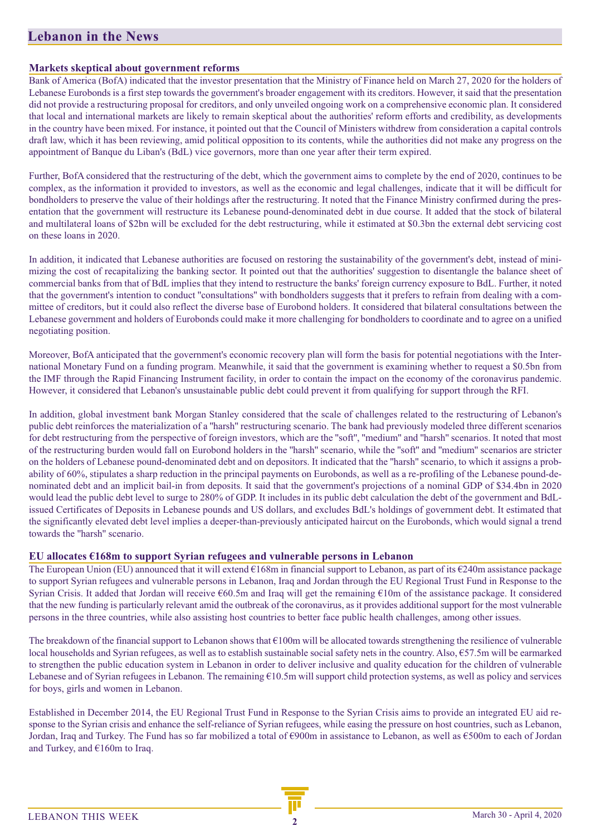#### **Markets skeptical about government reforms**

Bank of America (BofA) indicated that the investor presentation that the Ministry of Finance held on March 27, 2020 for the holders of Lebanese Eurobonds is a first step towards the government's broader engagement with its creditors. However, it said that the presentation did not provide a restructuring proposal for creditors, and only unveiled ongoing work on a comprehensive economic plan. It considered that local and international markets are likely to remain skeptical about the authorities' reform efforts and credibility, as developments in the country have been mixed. For instance, it pointed out that the Council of Ministers withdrew from consideration a capital controls draft law, which it has been reviewing, amid political opposition to its contents, while the authorities did not make any progress on the appointment of Banque du Liban's (BdL) vice governors, more than one year after their term expired.

Further, BofA considered that the restructuring of the debt, which the government aims to complete by the end of 2020, continues to be complex, as the information it provided to investors, as well as the economic and legal challenges, indicate that it will be difficult for bondholders to preserve the value of their holdings after the restructuring. It noted that the Finance Ministry confirmed during the presentation that the government will restructure its Lebanese pound-denominated debt in due course. It added that the stock of bilateral and multilateral loans of \$2bn will be excluded for the debt restructuring, while it estimated at \$0.3bn the external debt servicing cost on these loans in 2020.

In addition, it indicated that Lebanese authorities are focused on restoring the sustainability of the government's debt, instead of minimizing the cost of recapitalizing the banking sector. It pointed out that the authorities' suggestion to disentangle the balance sheet of commercial banks from that of BdL implies that they intend to restructure the banks' foreign currency exposure to BdL. Further, it noted that the government's intention to conduct ''consultations'' with bondholders suggests that it prefers to refrain from dealing with a committee of creditors, but it could also reflect the diverse base of Eurobond holders. It considered that bilateral consultations between the Lebanese government and holders of Eurobonds could make it more challenging for bondholders to coordinate and to agree on a unified negotiating position.

Moreover, BofA anticipated that the government's economic recovery plan will form the basis for potential negotiations with the International Monetary Fund on a funding program. Meanwhile, it said that the government is examining whether to request a \$0.5bn from the IMF through the Rapid Financing Instrument facility, in order to contain the impact on the economy of the coronavirus pandemic. However, it considered that Lebanon's unsustainable public debt could prevent it from qualifying for support through the RFI.

In addition, global investment bank Morgan Stanley considered that the scale of challenges related to the restructuring of Lebanon's public debt reinforces the materialization of a ''harsh'' restructuring scenario. The bank had previously modeled three different scenarios for debt restructuring from the perspective of foreign investors, which are the ''soft'', ''medium'' and ''harsh'' scenarios. It noted that most of the restructuring burden would fall on Eurobond holders in the ''harsh'' scenario, while the ''soft'' and ''medium'' scenarios are stricter on the holders of Lebanese pound-denominated debt and on depositors. It indicated that the ''harsh'' scenario, to which it assigns a probability of 60%, stipulates a sharp reduction in the principal payments on Eurobonds, as well as a re-profiling of the Lebanese pound-denominated debt and an implicit bail-in from deposits. It said that the government's projections of a nominal GDP of \$34.4bn in 2020 would lead the public debt level to surge to 280% of GDP. It includes in its public debt calculation the debt of the government and BdLissued Certificates of Deposits in Lebanese pounds and US dollars, and excludes BdL's holdings of government debt. It estimated that the significantly elevated debt level implies a deeper-than-previously anticipated haircut on the Eurobonds, which would signal a trend towards the ''harsh'' scenario.

#### **EU allocates €168m to support Syrian refugees and vulnerable persons in Lebanon**

The European Union (EU) announced that it will extend €168m in financial support to Lebanon, as part of its €240m assistance package to support Syrian refugees and vulnerable persons in Lebanon, Iraq and Jordan through the EU Regional Trust Fund in Response to the Syrian Crisis. It added that Jordan will receive €60.5m and Iraq will get the remaining €10m of the assistance package. It considered that the new funding is particularly relevant amid the outbreak of the coronavirus, as it provides additional support for the most vulnerable persons in the three countries, while also assisting host countries to better face public health challenges, among other issues.

The breakdown of the financial support to Lebanon shows that €100m will be allocated towards strengthening the resilience of vulnerable local households and Syrian refugees, as well as to establish sustainable social safety nets in the country. Also, €57.5m will be earmarked to strengthen the public education system in Lebanon in order to deliver inclusive and quality education for the children of vulnerable Lebanese and of Syrian refugees in Lebanon. The remaining €10.5m will support child protection systems, as well as policy and services for boys, girls and women in Lebanon.

Established in December 2014, the EU Regional Trust Fund in Response to the Syrian Crisis aims to provide an integrated EU aid response to the Syrian crisis and enhance the self-reliance of Syrian refugees, while easing the pressure on host countries, such as Lebanon, Jordan, Iraq and Turkey. The Fund has so far mobilized a total of €900m in assistance to Lebanon, as well as €500m to each of Jordan and Turkey, and €160m to Iraq.

LEBANON THIS WEEK **<sup>2</sup>**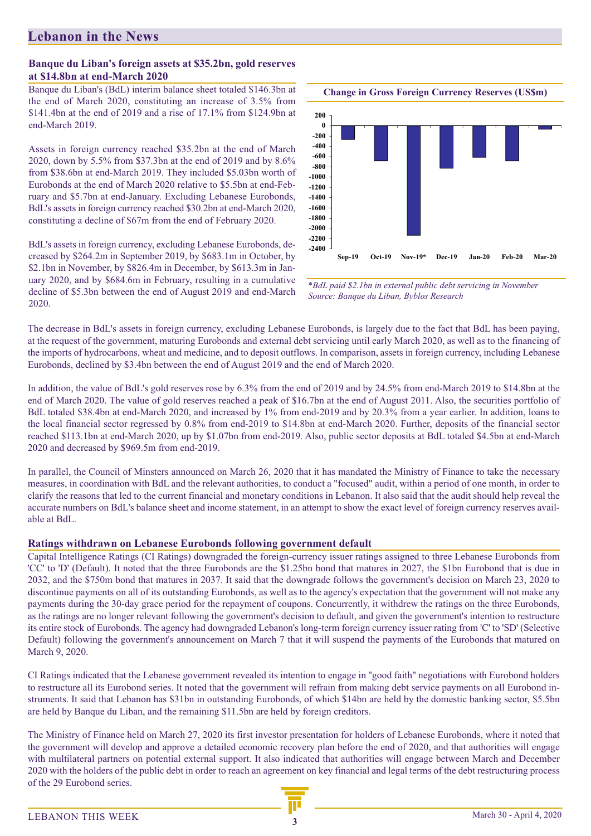#### **Banque du Liban's foreign assets at \$35.2bn, gold reserves at \$14.8bn at end-March 2020**

Banque du Liban's (BdL) interim balance sheet totaled \$146.3bn at the end of March 2020, constituting an increase of 3.5% from \$141.4bn at the end of 2019 and a rise of 17.1% from \$124.9bn at end-March 2019.

Assets in foreign currency reached \$35.2bn at the end of March 2020, down by 5.5% from \$37.3bn at the end of 2019 and by 8.6% from \$38.6bn at end-March 2019. They included \$5.03bn worth of Eurobonds at the end of March 2020 relative to \$5.5bn at end-February and \$5.7bn at end-January. Excluding Lebanese Eurobonds, BdL's assets in foreign currency reached \$30.2bn at end-March 2020, constituting a decline of \$67m from the end of February 2020.

BdL's assets in foreign currency, excluding Lebanese Eurobonds, decreased by \$264.2m in September 2019, by \$683.1m in October, by \$2.1bn in November, by \$826.4m in December, by \$613.3m in January 2020, and by \$684.6m in February, resulting in a cumulative decline of \$5.3bn between the end of August 2019 and end-March 2020.



*\*BdL paid \$2.1bn in external public debt servicing in November Source: Banque du Liban, Byblos Research*

The decrease in BdL's assets in foreign currency, excluding Lebanese Eurobonds, is largely due to the fact that BdL has been paying, at the request of the government, maturing Eurobonds and external debt servicing until early March 2020, as well as to the financing of the imports of hydrocarbons, wheat and medicine, and to deposit outflows. In comparison, assets in foreign currency, including Lebanese Eurobonds, declined by \$3.4bn between the end of August 2019 and the end of March 2020.

In addition, the value of BdL's gold reserves rose by 6.3% from the end of 2019 and by 24.5% from end-March 2019 to \$14.8bn at the end of March 2020. The value of gold reserves reached a peak of \$16.7bn at the end of August 2011. Also, the securities portfolio of BdL totaled \$38.4bn at end-March 2020, and increased by 1% from end-2019 and by 20.3% from a year earlier. In addition, loans to the local financial sector regressed by 0.8% from end-2019 to \$14.8bn at end-March 2020. Further, deposits of the financial sector reached \$113.1bn at end-March 2020, up by \$1.07bn from end-2019. Also, public sector deposits at BdL totaled \$4.5bn at end-March 2020 and decreased by \$969.5m from end-2019.

In parallel, the Council of Minsters announced on March 26, 2020 that it has mandated the Ministry of Finance to take the necessary measures, in coordination with BdL and the relevant authorities, to conduct a "focused" audit, within a period of one month, in order to clarify the reasons that led to the current financial and monetary conditions in Lebanon. It also said that the audit should help reveal the accurate numbers on BdL's balance sheet and income statement, in an attempt to show the exact level of foreign currency reserves available at BdL.

### **Ratings withdrawn on Lebanese Eurobonds following government default**

Capital Intelligence Ratings (CI Ratings) downgraded the foreign-currency issuer ratings assigned to three Lebanese Eurobonds from 'CC' to 'D' (Default). It noted that the three Eurobonds are the \$1.25bn bond that matures in 2027, the \$1bn Eurobond that is due in 2032, and the \$750m bond that matures in 2037. It said that the downgrade follows the government's decision on March 23, 2020 to discontinue payments on all of its outstanding Eurobonds, as well as to the agency's expectation that the government will not make any payments during the 30-day grace period for the repayment of coupons. Concurrently, it withdrew the ratings on the three Eurobonds, as the ratings are no longer relevant following the government's decision to default, and given the government's intention to restructure its entire stock of Eurobonds. The agency had downgraded Lebanon's long-term foreign currency issuer rating from 'C' to 'SD' (Selective Default) following the government's announcement on March 7 that it will suspend the payments of the Eurobonds that matured on March 9, 2020.

CI Ratings indicated that the Lebanese government revealed its intention to engage in ''good faith'' negotiations with Eurobond holders to restructure all its Eurobond series. It noted that the government will refrain from making debt service payments on all Eurobond instruments. It said that Lebanon has \$31bn in outstanding Eurobonds, of which \$14bn are held by the domestic banking sector, \$5.5bn are held by Banque du Liban, and the remaining \$11.5bn are held by foreign creditors.

The Ministry of Finance held on March 27, 2020 its first investor presentation for holders of Lebanese Eurobonds, where it noted that the government will develop and approve a detailed economic recovery plan before the end of 2020, and that authorities will engage with multilateral partners on potential external support. It also indicated that authorities will engage between March and December 2020 with the holders of the public debt in order to reach an agreement on key financial and legal terms of the debt restructuring process of the 29 Eurobond series.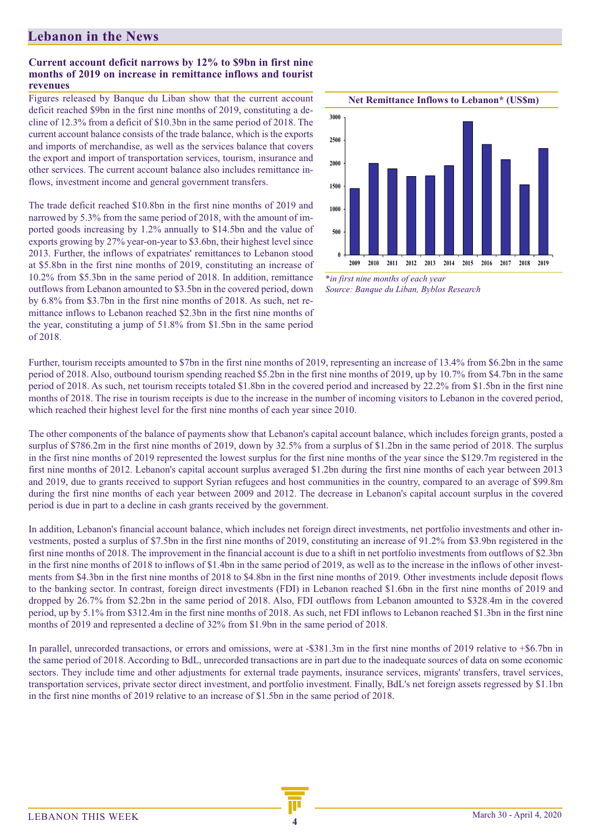#### **Current account deficit narrows by 12% to \$9bn in first nine months of 2019 on increase in remittance inflows and tourist revenues**

Figures released by Banque du Liban show that the current account deficit reached \$9bn in the first nine months of 2019, constituting a decline of 12.3% from a deficit of \$10.3bn in the same period of 2018. The current account balance consists of the trade balance, which is the exports and imports of merchandise, as well as the services balance that covers the export and import of transportation services, tourism, insurance and other services. The current account balance also includes remittance inflows, investment income and general government transfers.

The trade deficit reached \$10.8bn in the first nine months of 2019 and narrowed by 5.3% from the same period of 2018, with the amount of imported goods increasing by 1.2% annually to \$14.5bn and the value of exports growing by 27% year-on-year to \$3.6bn, their highest level since 2013. Further, the inflows of expatriates' remittances to Lebanon stood at \$5.8bn in the first nine months of 2019, constituting an increase of 10.2% from \$5.3bn in the same period of 2018. In addition, remittance outflows from Lebanon amounted to \$3.5bn in the covered period, down by 6.8% from \$3.7bn in the first nine months of 2018. As such, net remittance inflows to Lebanon reached \$2.3bn in the first nine months of the year, constituting a jump of 51.8% from \$1.5bn in the same period of 2018.



*\*in first nine months of each year Source: Banque du Liban, Byblos Research*

Further, tourism receipts amounted to \$7bn in the first nine months of 2019, representing an increase of 13.4% from \$6.2bn in the same period of 2018. Also, outbound tourism spending reached \$5.2bn in the first nine months of 2019, up by 10.7% from \$4.7bn in the same period of 2018. As such, net tourism receipts totaled \$1.8bn in the covered period and increased by 22.2% from \$1.5bn in the first nine months of 2018. The rise in tourism receipts is due to the increase in the number of incoming visitors to Lebanon in the covered period, which reached their highest level for the first nine months of each year since 2010.

The other components of the balance of payments show that Lebanon's capital account balance, which includes foreign grants, posted a surplus of \$786.2m in the first nine months of 2019, down by 32.5% from a surplus of \$1.2bn in the same period of 2018. The surplus in the first nine months of 2019 represented the lowest surplus for the first nine months of the year since the \$129.7m registered in the first nine months of 2012. Lebanon's capital account surplus averaged \$1.2bn during the first nine months of each year between 2013 and 2019, due to grants received to support Syrian refugees and host communities in the country, compared to an average of \$99.8m during the first nine months of each year between 2009 and 2012. The decrease in Lebanon's capital account surplus in the covered period is due in part to a decline in cash grants received by the government.

In addition, Lebanon's financial account balance, which includes net foreign direct investments, net portfolio investments and other investments, posted a surplus of \$7.5bn in the first nine months of 2019, constituting an increase of 91.2% from \$3.9bn registered in the first nine months of 2018. The improvement in the financial account is due to a shift in net portfolio investments from outflows of \$2.3bn in the first nine months of 2018 to inflows of \$1.4bn in the same period of 2019, as well as to the increase in the inflows of other investments from \$4.3bn in the first nine months of 2018 to \$4.8bn in the first nine months of 2019. Other investments include deposit flows to the banking sector. In contrast, foreign direct investments (FDI) in Lebanon reached \$1.6bn in the first nine months of 2019 and dropped by 26.7% from \$2.2bn in the same period of 2018. Also, FDI outflows from Lebanon amounted to \$328.4m in the covered period, up by 5.1% from \$312.4m in the first nine months of 2018. As such, net FDI inflows to Lebanon reached \$1.3bn in the first nine months of 2019 and represented a decline of 32% from \$1.9bn in the same period of 2018.

In parallel, unrecorded transactions, or errors and omissions, were at -\$381.3m in the first nine months of 2019 relative to +\$6.7bn in the same period of 2018. According to BdL, unrecorded transactions are in part due to the inadequate sources of data on some economic sectors. They include time and other adjustments for external trade payments, insurance services, migrants' transfers, travel services, transportation services, private sector direct investment, and portfolio investment. Finally, BdL's net foreign assets regressed by \$1.1bn in the first nine months of 2019 relative to an increase of \$1.5bn in the same period of 2018.

LEBANON THIS WEEK **<sup>4</sup>**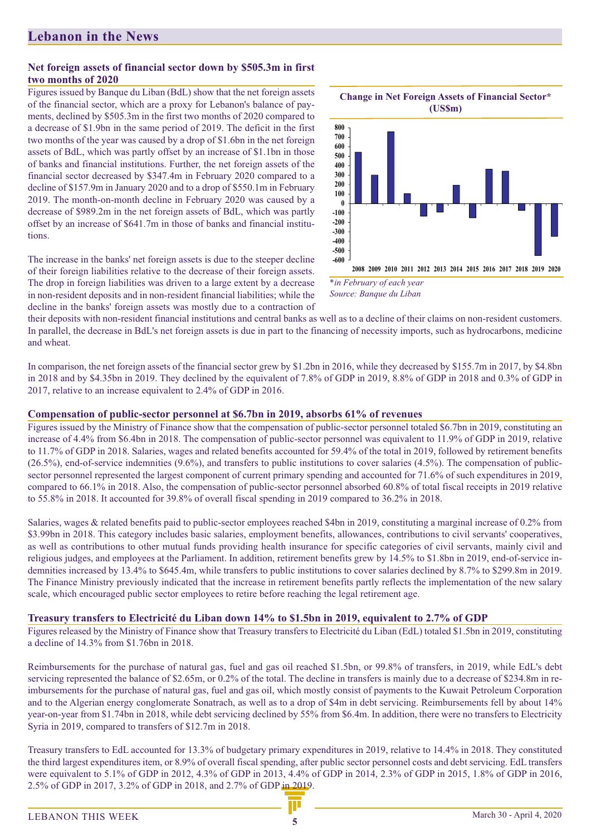#### **Net foreign assets of financial sector down by \$505.3m in first two months of 2020**

Figures issued by Banque du Liban (BdL) show that the net foreign assets of the financial sector, which are a proxy for Lebanon's balance of payments, declined by \$505.3m in the first two months of 2020 compared to a decrease of \$1.9bn in the same period of 2019. The deficit in the first two months of the year was caused by a drop of \$1.6bn in the net foreign assets of BdL, which was partly offset by an increase of \$1.1bn in those of banks and financial institutions. Further, the net foreign assets of the financial sector decreased by \$347.4m in February 2020 compared to a decline of \$157.9m in January 2020 and to a drop of \$550.1m in February 2019. The month-on-month decline in February 2020 was caused by a decrease of \$989.2m in the net foreign assets of BdL, which was partly offset by an increase of \$641.7m in those of banks and financial institutions.

The increase in the banks' net foreign assets is due to the steeper decline of their foreign liabilities relative to the decrease of their foreign assets. The drop in foreign liabilities was driven to a large extent by a decrease in non-resident deposits and in non-resident financial liabilities; while the decline in the banks' foreign assets was mostly due to a contraction of



*\*in February of each year Source: Banque du Liban*

their deposits with non-resident financial institutions and central banks as well as to a decline of their claims on non-resident customers. In parallel, the decrease in BdL's net foreign assets is due in part to the financing of necessity imports, such as hydrocarbons, medicine and wheat.

In comparison, the net foreign assets of the financial sector grew by \$1.2bn in 2016, while they decreased by \$155.7m in 2017, by \$4.8bn in 2018 and by \$4.35bn in 2019. They declined by the equivalent of 7.8% of GDP in 2019, 8.8% of GDP in 2018 and 0.3% of GDP in 2017, relative to an increase equivalent to 2.4% of GDP in 2016.

#### **Compensation of public-sector personnel at \$6.7bn in 2019, absorbs 61% of revenues**

Figures issued by the Ministry of Finance show that the compensation of public-sector personnel totaled \$6.7bn in 2019, constituting an increase of 4.4% from \$6.4bn in 2018. The compensation of public-sector personnel was equivalent to 11.9% of GDP in 2019, relative to 11.7% of GDP in 2018. Salaries, wages and related benefits accounted for 59.4% of the total in 2019, followed by retirement benefits  $(26.5\%)$ , end-of-service indemnities  $(9.6\%)$ , and transfers to public institutions to cover salaries  $(4.5\%)$ . The compensation of publicsector personnel represented the largest component of current primary spending and accounted for 71.6% of such expenditures in 2019, compared to 66.1% in 2018. Also, the compensation of public-sector personnel absorbed 60.8% of total fiscal receipts in 2019 relative to 55.8% in 2018. It accounted for 39.8% of overall fiscal spending in 2019 compared to 36.2% in 2018.

Salaries, wages & related benefits paid to public-sector employees reached \$4bn in 2019, constituting a marginal increase of 0.2% from \$3.99bn in 2018. This category includes basic salaries, employment benefits, allowances, contributions to civil servants' cooperatives, as well as contributions to other mutual funds providing health insurance for specific categories of civil servants, mainly civil and religious judges, and employees at the Parliament. In addition, retirement benefits grew by 14.5% to \$1.8bn in 2019, end-of-service indemnities increased by 13.4% to \$645.4m, while transfers to public institutions to cover salaries declined by 8.7% to \$299.8m in 2019. The Finance Ministry previously indicated that the increase in retirement benefits partly reflects the implementation of the new salary scale, which encouraged public sector employees to retire before reaching the legal retirement age.

#### **Treasury transfers to Electricité du Liban down 14% to \$1.5bn in 2019, equivalent to 2.7% of GDP**

Figures released by the Ministry of Finance show that Treasury transfers to Electricité du Liban (EdL) totaled \$1.5bn in 2019, constituting a decline of 14.3% from \$1.76bn in 2018.

Reimbursements for the purchase of natural gas, fuel and gas oil reached \$1.5bn, or 99.8% of transfers, in 2019, while EdL's debt servicing represented the balance of \$2.65m, or 0.2% of the total. The decline in transfers is mainly due to a decrease of \$234.8m in reimbursements for the purchase of natural gas, fuel and gas oil, which mostly consist of payments to the Kuwait Petroleum Corporation and to the Algerian energy conglomerate Sonatrach, as well as to a drop of \$4m in debt servicing. Reimbursements fell by about 14% year-on-year from \$1.74bn in 2018, while debt servicing declined by 55% from \$6.4m. In addition, there were no transfers to Electricity Syria in 2019, compared to transfers of \$12.7m in 2018.

Treasury transfers to EdL accounted for 13.3% of budgetary primary expenditures in 2019, relative to 14.4% in 2018. They constituted the third largest expenditures item, or 8.9% of overall fiscal spending, after public sector personnel costs and debt servicing. EdL transfers were equivalent to 5.1% of GDP in 2012, 4.3% of GDP in 2013, 4.4% of GDP in 2014, 2.3% of GDP in 2015, 1.8% of GDP in 2016, 2.5% of GDP in 2017, 3.2% of GDP in 2018, and 2.7% of GDP in 2019.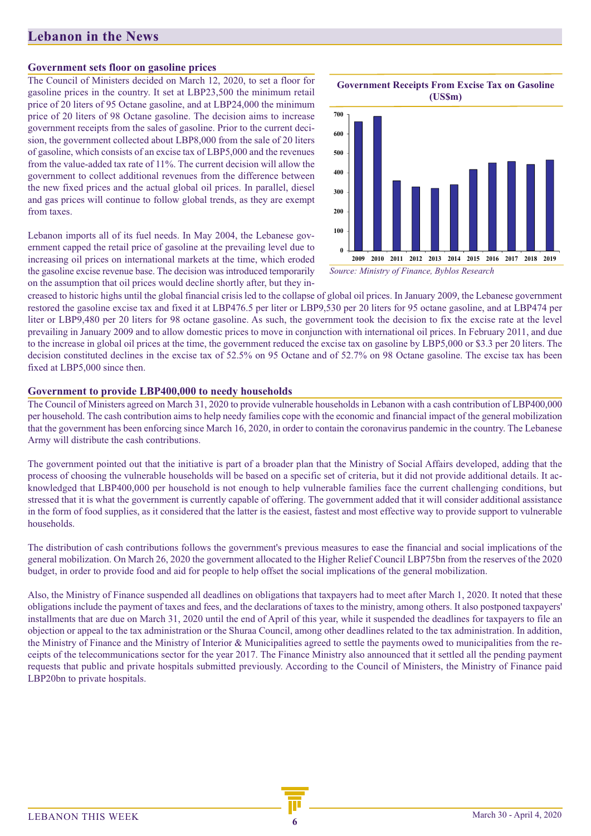#### **Government sets floor on gasoline prices**

The Council of Ministers decided on March 12, 2020, to set a floor for gasoline prices in the country. It set at LBP23,500 the minimum retail price of 20 liters of 95 Octane gasoline, and at LBP24,000 the minimum price of 20 liters of 98 Octane gasoline. The decision aims to increase government receipts from the sales of gasoline. Prior to the current decision, the government collected about LBP8,000 from the sale of 20 liters of gasoline, which consists of an excise tax of LBP5,000 and the revenues from the value-added tax rate of 11%. The current decision will allow the government to collect additional revenues from the difference between the new fixed prices and the actual global oil prices. In parallel, diesel and gas prices will continue to follow global trends, as they are exempt from taxes.

Lebanon imports all of its fuel needs. In May 2004, the Lebanese government capped the retail price of gasoline at the prevailing level due to increasing oil prices on international markets at the time, which eroded the gasoline excise revenue base. The decision was introduced temporarily on the assumption that oil prices would decline shortly after, but they in-



**Government Receipts From Excise Tax on Gasoline**

*Source: Ministry of Finance, Byblos Research*

creased to historic highs until the global financial crisis led to the collapse of global oil prices. In January 2009, the Lebanese government restored the gasoline excise tax and fixed it at LBP476.5 per liter or LBP9,530 per 20 liters for 95 octane gasoline, and at LBP474 per liter or LBP9,480 per 20 liters for 98 octane gasoline. As such, the government took the decision to fix the excise rate at the level prevailing in January 2009 and to allow domestic prices to move in conjunction with international oil prices. In February 2011, and due to the increase in global oil prices at the time, the government reduced the excise tax on gasoline by LBP5,000 or \$3.3 per 20 liters. The decision constituted declines in the excise tax of 52.5% on 95 Octane and of 52.7% on 98 Octane gasoline. The excise tax has been fixed at LBP5,000 since then.

#### **Government to provide LBP400,000 to needy households**

The Council of Ministers agreed on March 31, 2020 to provide vulnerable households in Lebanon with a cash contribution of LBP400,000 per household. The cash contribution aims to help needy families cope with the economic and financial impact of the general mobilization that the government has been enforcing since March 16, 2020, in order to contain the coronavirus pandemic in the country. The Lebanese Army will distribute the cash contributions.

The government pointed out that the initiative is part of a broader plan that the Ministry of Social Affairs developed, adding that the process of choosing the vulnerable households will be based on a specific set of criteria, but it did not provide additional details. It acknowledged that LBP400,000 per household is not enough to help vulnerable families face the current challenging conditions, but stressed that it is what the government is currently capable of offering. The government added that it will consider additional assistance in the form of food supplies, as it considered that the latter is the easiest, fastest and most effective way to provide support to vulnerable households.

The distribution of cash contributions follows the government's previous measures to ease the financial and social implications of the general mobilization. On March 26, 2020 the government allocated to the Higher Relief Council LBP75bn from the reserves of the 2020 budget, in order to provide food and aid for people to help offset the social implications of the general mobilization.

Also, the Ministry of Finance suspended all deadlines on obligations that taxpayers had to meet after March 1, 2020. It noted that these obligations include the payment of taxes and fees, and the declarations of taxes to the ministry, among others. It also postponed taxpayers' installments that are due on March 31, 2020 until the end of April of this year, while it suspended the deadlines for taxpayers to file an objection or appeal to the tax administration or the Shuraa Council, among other deadlines related to the tax administration. In addition, the Ministry of Finance and the Ministry of Interior & Municipalities agreed to settle the payments owed to municipalities from the receipts of the telecommunications sector for the year 2017. The Finance Ministry also announced that it settled all the pending payment requests that public and private hospitals submitted previously. According to the Council of Ministers, the Ministry of Finance paid LBP20bn to private hospitals.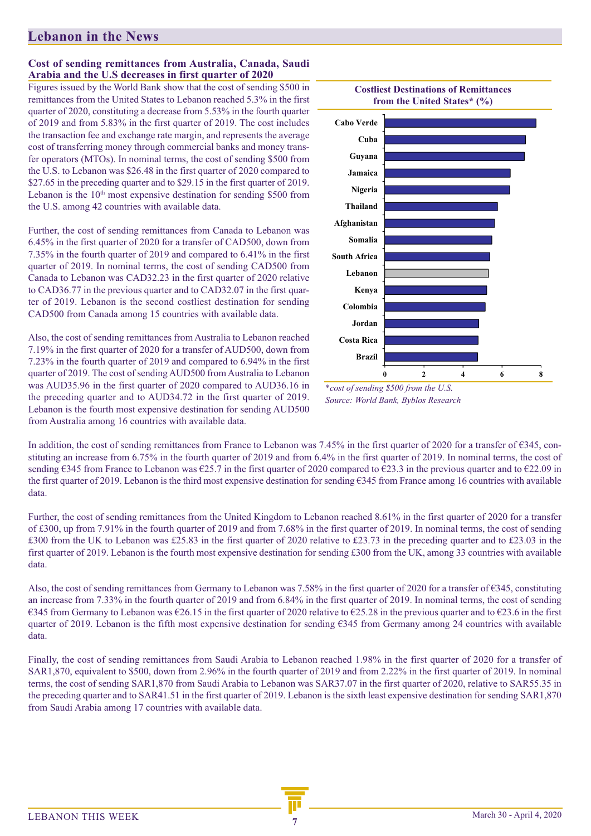### **Cost of sending remittances from Australia, Canada, Saudi Arabia and the U.S decreases in first quarter of 2020**

Figures issued by the World Bank show that the cost of sending \$500 in remittances from the United States to Lebanon reached 5.3% in the first quarter of 2020, constituting a decrease from 5.53% in the fourth quarter of 2019 and from 5.83% in the first quarter of 2019. The cost includes the transaction fee and exchange rate margin, and represents the average cost of transferring money through commercial banks and money transfer operators (MTOs). In nominal terms, the cost of sending \$500 from the U.S. to Lebanon was \$26.48 in the first quarter of 2020 compared to \$27.65 in the preceding quarter and to \$29.15 in the first quarter of 2019. Lebanon is the  $10<sup>th</sup>$  most expensive destination for sending \$500 from the U.S. among 42 countries with available data.

Further, the cost of sending remittances from Canada to Lebanon was 6.45% in the first quarter of 2020 for a transfer of CAD500, down from 7.35% in the fourth quarter of 2019 and compared to 6.41% in the first quarter of 2019. In nominal terms, the cost of sending CAD500 from Canada to Lebanon was CAD32.23 in the first quarter of 2020 relative to CAD36.77 in the previous quarter and to CAD32.07 in the first quarter of 2019. Lebanon is the second costliest destination for sending CAD500 from Canada among 15 countries with available data.

Also, the cost of sending remittances from Australia to Lebanon reached 7.19% in the first quarter of 2020 for a transfer of AUD500, down from 7.23% in the fourth quarter of 2019 and compared to 6.94% in the first quarter of 2019. The cost of sending AUD500 from Australia to Lebanon was AUD35.96 in the first quarter of 2020 compared to AUD36.16 in the preceding quarter and to AUD34.72 in the first quarter of 2019. Lebanon is the fourth most expensive destination for sending AUD500 from Australia among 16 countries with available data.



*<sup>\*</sup>cost of sending \$500 from the U.S. Source: World Bank, Byblos Research*

In addition, the cost of sending remittances from France to Lebanon was 7.45% in the first quarter of 2020 for a transfer of €345, constituting an increase from 6.75% in the fourth quarter of 2019 and from 6.4% in the first quarter of 2019. In nominal terms, the cost of sending  $\epsilon$ 345 from France to Lebanon was  $\epsilon$ 25.7 in the first quarter of 2020 compared to  $\epsilon$ 23.3 in the previous quarter and to  $\epsilon$ 22.09 in the first quarter of 2019. Lebanon is the third most expensive destination for sending €345 from France among 16 countries with available data.

Further, the cost of sending remittances from the United Kingdom to Lebanon reached 8.61% in the first quarter of 2020 for a transfer of £300, up from 7.91% in the fourth quarter of 2019 and from 7.68% in the first quarter of 2019. In nominal terms, the cost of sending £300 from the UK to Lebanon was £25.83 in the first quarter of 2020 relative to £23.73 in the preceding quarter and to £23.03 in the first quarter of 2019. Lebanon is the fourth most expensive destination for sending £300 from the UK, among 33 countries with available data.

Also, the cost of sending remittances from Germany to Lebanon was 7.58% in the first quarter of 2020 for a transfer of €345, constituting an increase from 7.33% in the fourth quarter of 2019 and from 6.84% in the first quarter of 2019. In nominal terms, the cost of sending €345 from Germany to Lebanon was €26.15 in the first quarter of 2020 relative to €25.28 in the previous quarter and to €23.6 in the first quarter of 2019. Lebanon is the fifth most expensive destination for sending €345 from Germany among 24 countries with available data.

Finally, the cost of sending remittances from Saudi Arabia to Lebanon reached 1.98% in the first quarter of 2020 for a transfer of SAR1,870, equivalent to \$500, down from 2.96% in the fourth quarter of 2019 and from 2.22% in the first quarter of 2019. In nominal terms, the cost of sending SAR1,870 from Saudi Arabia to Lebanon was SAR37.07 in the first quarter of 2020, relative to SAR55.35 in the preceding quarter and to SAR41.51 in the first quarter of 2019. Lebanon is the sixth least expensive destination for sending SAR1,870 from Saudi Arabia among 17 countries with available data.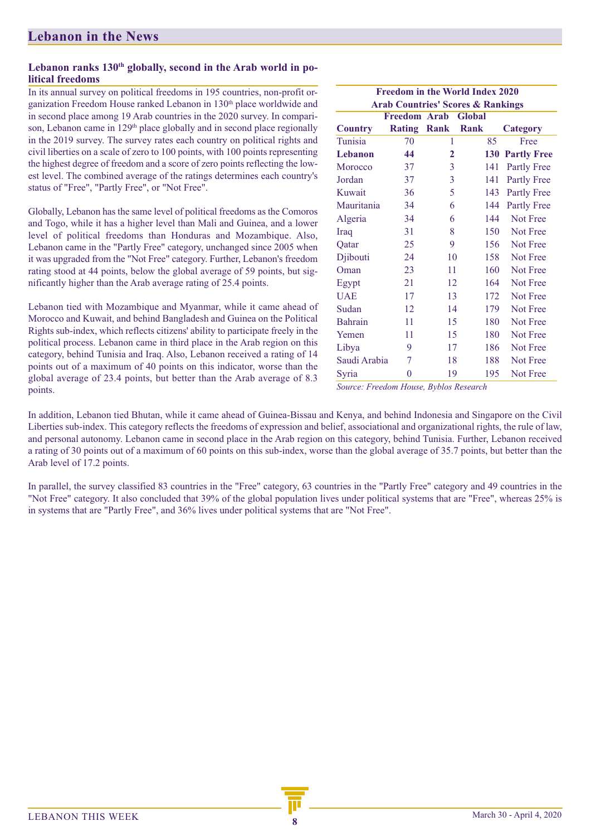### Lebanon ranks 130<sup>th</sup> globally, second in the Arab world in po**litical freedoms**

In its annual survey on political freedoms in 195 countries, non-profit organization Freedom House ranked Lebanon in 130<sup>th</sup> place worldwide and in second place among 19 Arab countries in the 2020 survey. In comparison, Lebanon came in 129<sup>th</sup> place globally and in second place regionally in the 2019 survey. The survey rates each country on political rights and civil liberties on a scale of zero to 100 points, with 100 points representing the highest degree of freedom and a score of zero points reflecting the lowest level. The combined average of the ratings determines each country's status of "Free", "Partly Free", or "Not Free".

Globally, Lebanon has the same level of political freedoms as the Comoros and Togo, while it has a higher level than Mali and Guinea, and a lower level of political freedoms than Honduras and Mozambique. Also, Lebanon came in the "Partly Free" category, unchanged since 2005 when it was upgraded from the "Not Free" category. Further, Lebanon's freedom rating stood at 44 points, below the global average of 59 points, but significantly higher than the Arab average rating of 25.4 points.

Lebanon tied with Mozambique and Myanmar, while it came ahead of Morocco and Kuwait, and behind Bangladesh and Guinea on the Political Rights sub-index, which reflects citizens' ability to participate freely in the political process. Lebanon came in third place in the Arab region on this category, behind Tunisia and Iraq. Also, Lebanon received a rating of 14 points out of a maximum of 40 points on this indicator, worse than the global average of 23.4 points, but better than the Arab average of 8.3 points. *Source: Freedom House, Byblos Research*

| <b>Freedom in the World Index 2020</b> |                |                |                                              |                    |  |  |  |  |
|----------------------------------------|----------------|----------------|----------------------------------------------|--------------------|--|--|--|--|
|                                        |                |                | <b>Arab Countries' Scores &amp; Rankings</b> |                    |  |  |  |  |
|                                        | Freedom Arab   |                | Global                                       |                    |  |  |  |  |
| <b>Country</b>                         | Rating         | Rank           | Rank                                         | <b>Category</b>    |  |  |  |  |
| Tunisia                                | 70             | 1              | 85                                           | Free               |  |  |  |  |
| <b>Lebanon</b>                         | 44             | $\overline{2}$ | 130                                          | <b>Partly Free</b> |  |  |  |  |
| Morocco                                | 37             | 3              | 141                                          | Partly Free        |  |  |  |  |
| Jordan                                 | 37             | 3              | 141                                          | <b>Partly Free</b> |  |  |  |  |
| Kuwait                                 | 36             | 5              | 143                                          | <b>Partly Free</b> |  |  |  |  |
| Mauritania                             | 34             | 6              | 144                                          | Partly Free        |  |  |  |  |
| Algeria                                | 34             | 6              | 144                                          | Not Free           |  |  |  |  |
| Iraq                                   | 31             | 8              | 150                                          | Not Free           |  |  |  |  |
| Qatar                                  | 25             | 9              | 156                                          | Not Free           |  |  |  |  |
| Djibouti                               | 24             | 10             | 158                                          | Not Free           |  |  |  |  |
| Oman                                   | 23             | 11             | 160                                          | Not Free           |  |  |  |  |
| Egypt                                  | 21             | 12             | 164                                          | Not Free           |  |  |  |  |
| <b>UAE</b>                             | 17             | 13             | 172                                          | Not Free           |  |  |  |  |
| Sudan                                  | 12             | 14             | 179                                          | Not Free           |  |  |  |  |
| <b>Bahrain</b>                         | 11             | 15             | 180                                          | Not Free           |  |  |  |  |
| Yemen                                  | 11             | 15             | 180                                          | Not Free           |  |  |  |  |
| Libya                                  | 9              | 17             | 186                                          | Not Free           |  |  |  |  |
| Saudi Arabia                           | 7              | 18             | 188                                          | Not Free           |  |  |  |  |
| Syria                                  | $\overline{0}$ | 19             | 195                                          | Not Free           |  |  |  |  |

In addition, Lebanon tied Bhutan, while it came ahead of Guinea-Bissau and Kenya, and behind Indonesia and Singapore on the Civil Liberties sub-index. This category reflects the freedoms of expression and belief, associational and organizational rights, the rule of law, and personal autonomy. Lebanon came in second place in the Arab region on this category, behind Tunisia. Further, Lebanon received a rating of 30 points out of a maximum of 60 points on this sub-index, worse than the global average of 35.7 points, but better than the Arab level of 17.2 points.

In parallel, the survey classified 83 countries in the "Free" category, 63 countries in the "Partly Free" category and 49 countries in the "Not Free" category. It also concluded that 39% of the global population lives under political systems that are "Free", whereas 25% is in systems that are "Partly Free", and 36% lives under political systems that are "Not Free".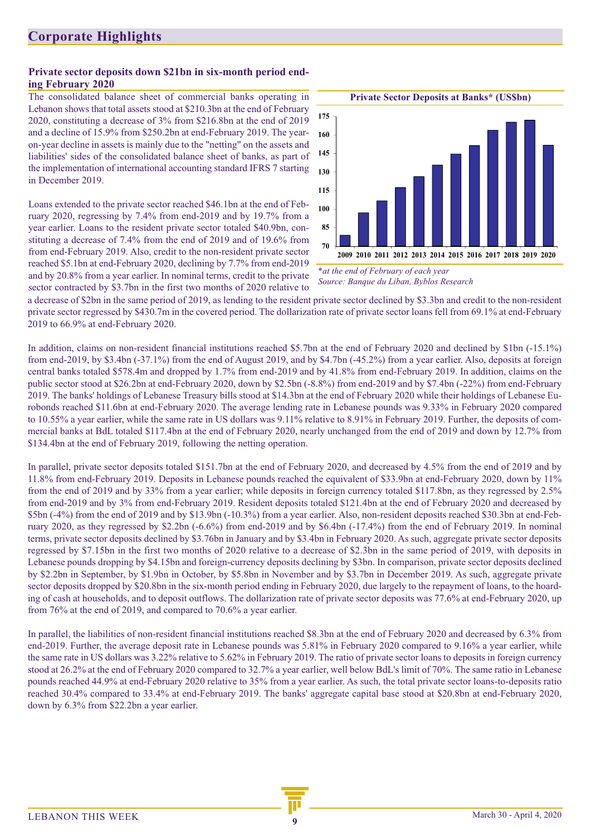### **Corporate Highlights**

#### **Private sector deposits down \$21bn in six-month period ending February 2020**

The consolidated balance sheet of commercial banks operating in Lebanon shows that total assets stood at \$210.3bn at the end of February 2020, constituting a decrease of 3% from \$216.8bn at the end of 2019 and a decline of 15.9% from \$250.2bn at end-February 2019. The yearon-year decline in assets is mainly due to the "netting" on the assets and liabilities' sides of the consolidated balance sheet of banks, as part of the implementation of international accounting standard IFRS 7 starting in December 2019.

Loans extended to the private sector reached \$46.1bn at the end of February 2020, regressing by 7.4% from end-2019 and by 19.7% from a year earlier. Loans to the resident private sector totaled \$40.9bn, constituting a decrease of 7.4% from the end of 2019 and of 19.6% from from end-February 2019. Also, credit to the non-resident private sector reached \$5.1bn at end-February 2020, declining by 7.7% from end-2019 and by 20.8% from a year earlier. In nominal terms, credit to the private sector contracted by \$3.7bn in the first two months of 2020 relative to



*\*at the end of February of each year Source: Banque du Liban, Byblos Research*

a decrease of \$2bn in the same period of 2019, as lending to the resident private sector declined by \$3.3bn and credit to the non-resident private sector regressed by \$430.7m in the covered period. The dollarization rate of private sector loans fell from 69.1% at end-February 2019 to 66.9% at end-February 2020.

In addition, claims on non-resident financial institutions reached \$5.7bn at the end of February 2020 and declined by \$1bn (-15.1%) from end-2019, by \$3.4bn (-37.1%) from the end of August 2019, and by \$4.7bn (-45.2%) from a year earlier. Also, deposits at foreign central banks totaled \$578.4m and dropped by 1.7% from end-2019 and by 41.8% from end-February 2019. In addition, claims on the public sector stood at \$26.2bn at end-February 2020, down by \$2.5bn (-8.8%) from end-2019 and by \$7.4bn (-22%) from end-February 2019. The banks' holdings of Lebanese Treasury bills stood at \$14.3bn at the end of February 2020 while their holdings of Lebanese Eurobonds reached \$11.6bn at end-February 2020. The average lending rate in Lebanese pounds was 9.33% in February 2020 compared to 10.55% a year earlier, while the same rate in US dollars was 9.11% relative to 8.91% in February 2019. Further, the deposits of commercial banks at BdL totaled \$117.4bn at the end of February 2020, nearly unchanged from the end of 2019 and down by 12.7% from \$134.4bn at the end of February 2019, following the netting operation.

In parallel, private sector deposits totaled \$151.7bn at the end of February 2020, and decreased by 4.5% from the end of 2019 and by 11.8% from end-February 2019. Deposits in Lebanese pounds reached the equivalent of \$33.9bn at end-February 2020, down by 11% from the end of 2019 and by 33% from a year earlier; while deposits in foreign currency totaled \$117.8bn, as they regressed by 2.5% from end-2019 and by 3% from end-February 2019. Resident deposits totaled \$121.4bn at the end of February 2020 and decreased by \$5bn (-4%) from the end of 2019 and by \$13.9bn (-10.3%) from a year earlier. Also, non-resident deposits reached \$30.3bn at end-February 2020, as they regressed by \$2.2bn (-6.6%) from end-2019 and by \$6.4bn (-17.4%) from the end of February 2019. In nominal terms, private sector deposits declined by \$3.76bn in January and by \$3.4bn in February 2020. As such, aggregate private sector deposits regressed by \$7.15bn in the first two months of 2020 relative to a decrease of \$2.3bn in the same period of 2019, with deposits in Lebanese pounds dropping by \$4.15bn and foreign-currency deposits declining by \$3bn. In comparison, private sector deposits declined by \$2.2bn in September, by \$1.9bn in October, by \$5.8bn in November and by \$3.7bn in December 2019. As such, aggregate private sector deposits dropped by \$20.8bn in the six-month period ending in February 2020, due largely to the repayment of loans, to the hoarding of cash at households, and to deposit outflows. The dollarization rate of private sector deposits was 77.6% at end-February 2020, up from 76% at the end of 2019, and compared to 70.6% a year earlier.

In parallel, the liabilities of non-resident financial institutions reached \$8.3bn at the end of February 2020 and decreased by 6.3% from end-2019. Further, the average deposit rate in Lebanese pounds was 5.81% in February 2020 compared to 9.16% a year earlier, while the same rate in US dollars was 3.22% relative to 5.62% in February 2019. The ratio of private sector loans to deposits in foreign currency stood at 26.2% at the end of February 2020 compared to 32.7% a year earlier, well below BdL's limit of 70%. The same ratio in Lebanese pounds reached 44.9% at end-February 2020 relative to 35% from a year earlier. As such, the total private sector loans-to-deposits ratio reached 30.4% compared to 33.4% at end-February 2019. The banks' aggregate capital base stood at \$20.8bn at end-February 2020, down by 6.3% from \$22.2bn a year earlier.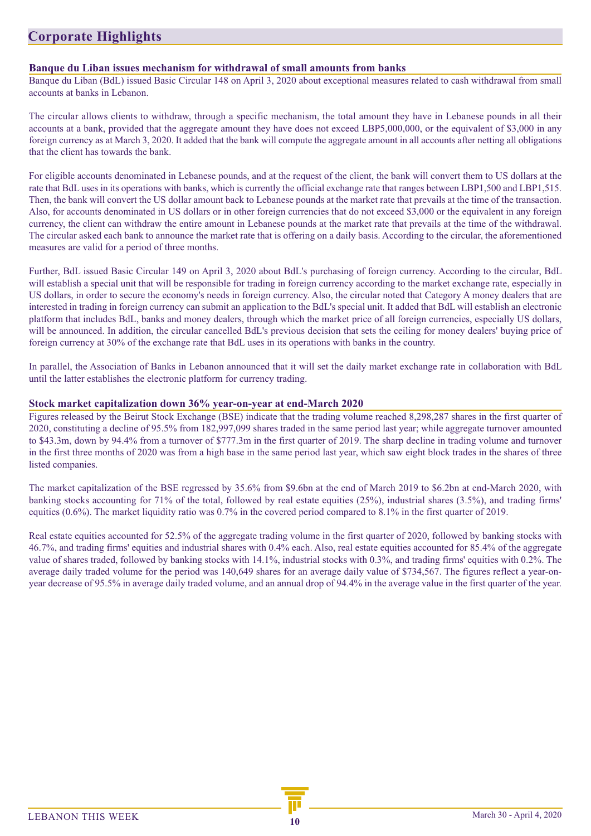### **Corporate Highlights**

#### **Banque du Liban issues mechanism for withdrawal of small amounts from banks**

Banque du Liban (BdL) issued Basic Circular 148 on April 3, 2020 about exceptional measures related to cash withdrawal from small accounts at banks in Lebanon.

The circular allows clients to withdraw, through a specific mechanism, the total amount they have in Lebanese pounds in all their accounts at a bank, provided that the aggregate amount they have does not exceed LBP5,000,000, or the equivalent of \$3,000 in any foreign currency as at March 3, 2020. It added that the bank will compute the aggregate amount in all accounts after netting all obligations that the client has towards the bank.

For eligible accounts denominated in Lebanese pounds, and at the request of the client, the bank will convert them to US dollars at the rate that BdL uses in its operations with banks, which is currently the official exchange rate that ranges between LBP1,500 and LBP1,515. Then, the bank will convert the US dollar amount back to Lebanese pounds at the market rate that prevails at the time of the transaction. Also, for accounts denominated in US dollars or in other foreign currencies that do not exceed \$3,000 or the equivalent in any foreign currency, the client can withdraw the entire amount in Lebanese pounds at the market rate that prevails at the time of the withdrawal. The circular asked each bank to announce the market rate that is offering on a daily basis. According to the circular, the aforementioned measures are valid for a period of three months.

Further, BdL issued Basic Circular 149 on April 3, 2020 about BdL's purchasing of foreign currency. According to the circular, BdL will establish a special unit that will be responsible for trading in foreign currency according to the market exchange rate, especially in US dollars, in order to secure the economy's needs in foreign currency. Also, the circular noted that Category A money dealers that are interested in trading in foreign currency can submit an application to the BdL's special unit. It added that BdL will establish an electronic platform that includes BdL, banks and money dealers, through which the market price of all foreign currencies, especially US dollars, will be announced. In addition, the circular cancelled BdL's previous decision that sets the ceiling for money dealers' buying price of foreign currency at 30% of the exchange rate that BdL uses in its operations with banks in the country.

In parallel, the Association of Banks in Lebanon announced that it will set the daily market exchange rate in collaboration with BdL until the latter establishes the electronic platform for currency trading.

#### **Stock market capitalization down 36% year-on-year at end-March 2020**

Figures released by the Beirut Stock Exchange (BSE) indicate that the trading volume reached 8,298,287 shares in the first quarter of 2020, constituting a decline of 95.5% from 182,997,099 shares traded in the same period last year; while aggregate turnover amounted to \$43.3m, down by 94.4% from a turnover of \$777.3m in the first quarter of 2019. The sharp decline in trading volume and turnover in the first three months of 2020 was from a high base in the same period last year, which saw eight block trades in the shares of three listed companies.

The market capitalization of the BSE regressed by 35.6% from \$9.6bn at the end of March 2019 to \$6.2bn at end-March 2020, with banking stocks accounting for 71% of the total, followed by real estate equities (25%), industrial shares (3.5%), and trading firms' equities (0.6%). The market liquidity ratio was 0.7% in the covered period compared to 8.1% in the first quarter of 2019.

Real estate equities accounted for 52.5% of the aggregate trading volume in the first quarter of 2020, followed by banking stocks with 46.7%, and trading firms' equities and industrial shares with 0.4% each. Also, real estate equities accounted for 85.4% of the aggregate value of shares traded, followed by banking stocks with 14.1%, industrial stocks with 0.3%, and trading firms' equities with 0.2%. The average daily traded volume for the period was 140,649 shares for an average daily value of \$734,567. The figures reflect a year-onyear decrease of 95.5% in average daily traded volume, and an annual drop of 94.4% in the average value in the first quarter of the year.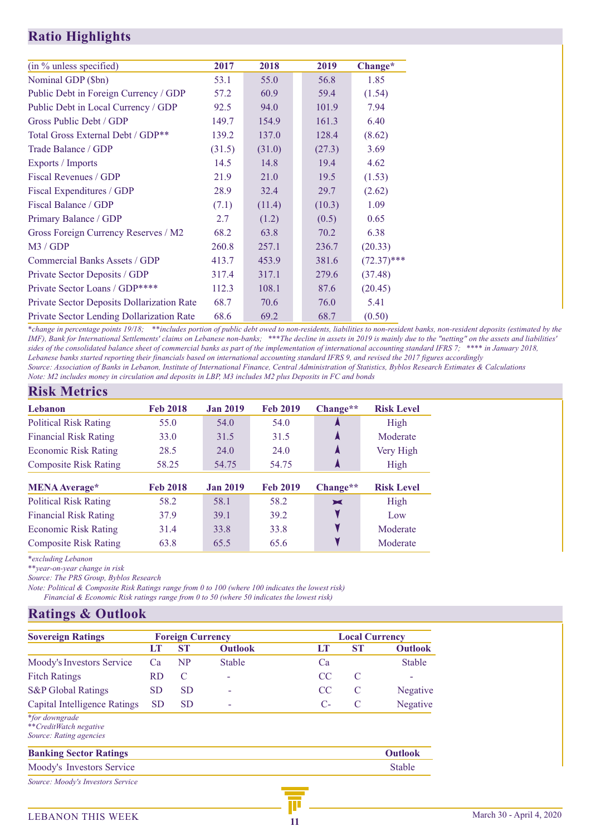### **Ratio Highlights**

| (in % unless specified)                           | 2017   | 2018   | 2019   | Change*       |
|---------------------------------------------------|--------|--------|--------|---------------|
| Nominal GDP (\$bn)                                | 53.1   | 55.0   | 56.8   | 1.85          |
| Public Debt in Foreign Currency / GDP             | 57.2   | 60.9   | 59.4   | (1.54)        |
| Public Debt in Local Currency / GDP               | 92.5   | 94.0   | 101.9  | 7.94          |
| Gross Public Debt / GDP                           | 149.7  | 154.9  | 161.3  | 6.40          |
| Total Gross External Debt / GDP**                 | 139.2  | 137.0  | 128.4  | (8.62)        |
| Trade Balance / GDP                               | (31.5) | (31.0) | (27.3) | 3.69          |
| Exports / Imports                                 | 14.5   | 14.8   | 19.4   | 4.62          |
| Fiscal Revenues / GDP                             | 21.9   | 21.0   | 19.5   | (1.53)        |
| Fiscal Expenditures / GDP                         | 28.9   | 32.4   | 29.7   | (2.62)        |
| Fiscal Balance / GDP                              | (7.1)  | (11.4) | (10.3) | 1.09          |
| Primary Balance / GDP                             | 2.7    | (1.2)  | (0.5)  | 0.65          |
| Gross Foreign Currency Reserves / M2              | 68.2   | 63.8   | 70.2   | 6.38          |
| M3 / GDP                                          | 260.8  | 257.1  | 236.7  | (20.33)       |
| Commercial Banks Assets / GDP                     | 413.7  | 453.9  | 381.6  | $(72.37)$ *** |
| Private Sector Deposits / GDP                     | 317.4  | 317.1  | 279.6  | (37.48)       |
| Private Sector Loans / GDP****                    | 112.3  | 108.1  | 87.6   | (20.45)       |
| <b>Private Sector Deposits Dollarization Rate</b> | 68.7   | 70.6   | 76.0   | 5.41          |
| <b>Private Sector Lending Dollarization Rate</b>  | 68.6   | 69.2   | 68.7   | (0.50)        |

*\*change in percentage points 19/18; \*\*includes portion of public debt owed to non-residents, liabilities to non-resident banks, non-resident deposits (estimated by the IMF), Bank for International Settlements' claims on Lebanese non-banks; \*\*\*The decline in assets in 2019 is mainly due to the "netting" on the assets and liabilities' sides of the consolidated balance sheet of commercial banks as part of the implementation of international accounting standard IFRS 7; \*\*\*\* in January 2018, Lebanese banks started reporting their financials based on international accounting standard IFRS 9, and revised the 2017 figures accordingly Source: Association of Banks in Lebanon, Institute of International Finance, Central Administration of Statistics, Byblos Research Estimates & Calculations Note: M2 includes money in circulation and deposits in LBP, M3 includes M2 plus Deposits in FC and bonds* 

### **Risk Metrics**

| <b>Lebanon</b>               | <b>Feb 2018</b> | <b>Jan 2019</b> | <b>Feb 2019</b> | Change**              | <b>Risk Level</b> |
|------------------------------|-----------------|-----------------|-----------------|-----------------------|-------------------|
| <b>Political Risk Rating</b> | 55.0            | 54.0            | 54.0            | А                     | High              |
| <b>Financial Risk Rating</b> | <b>33.0</b>     | 31.5            | 31.5            | A                     | Moderate          |
| Economic Risk Rating         | 28.5            | 24.0            | 24.0            | A                     | Very High         |
| <b>Composite Risk Rating</b> | 58.25           | 54.75           | 54.75           | А                     | High              |
| <b>MENA</b> Average*         | <b>Feb 2018</b> | <b>Jan 2019</b> | <b>Feb 2019</b> | Change**              | <b>Risk Level</b> |
| <b>Political Risk Rating</b> | 58.2            | 58.1            | 58.2            | $\blacktriangleright$ | High              |
| <b>Financial Risk Rating</b> | 37.9            | 39.1            | 39.2            |                       | Low               |
| Economic Risk Rating         | 31.4            | 33.8            | 33.8            |                       | Moderate          |
| <b>Composite Risk Rating</b> | 63.8            | 65.5            | 65.6            |                       | Moderate          |

*\*excluding Lebanon*

*\*\*year-on-year change in risk* 

*Source: The PRS Group, Byblos Research* 

*Note: Political & Composite Risk Ratings range from 0 to 100 (where 100 indicates the lowest risk)*

*Financial & Economic Risk ratings range from 0 to 50 (where 50 indicates the lowest risk)*

### **Ratings & Outlook**

| <b>Sovereign Ratings</b>                                            |           | <b>Foreign Currency</b> |                | <b>Local Currency</b> |           |                |  |
|---------------------------------------------------------------------|-----------|-------------------------|----------------|-----------------------|-----------|----------------|--|
|                                                                     | LП        | <b>ST</b>               | <b>Outlook</b> | LT                    | <b>ST</b> | <b>Outlook</b> |  |
| Moody's Investors Service                                           | Ca        | <b>NP</b>               | <b>Stable</b>  | Ca                    |           | <b>Stable</b>  |  |
| <b>Fitch Ratings</b>                                                | <b>RD</b> | C                       |                | CC                    | C         |                |  |
| <b>S&amp;P</b> Global Ratings                                       | <b>SD</b> | <b>SD</b>               |                | <sub>CC</sub>         | C         | Negative       |  |
| Capital Intelligence Ratings                                        | <b>SD</b> | <b>SD</b>               |                | C-                    | C         | Negative       |  |
| *for downgrade<br>**CreditWatch negative<br>Source: Rating agencies |           |                         |                |                       |           |                |  |
| <b>Banking Sector Ratings</b>                                       |           |                         |                |                       |           | <b>Outlook</b> |  |
| Moody's Investors Service                                           |           |                         |                |                       |           | <b>Stable</b>  |  |
| Source: Moody's Investors Service                                   |           |                         |                |                       |           |                |  |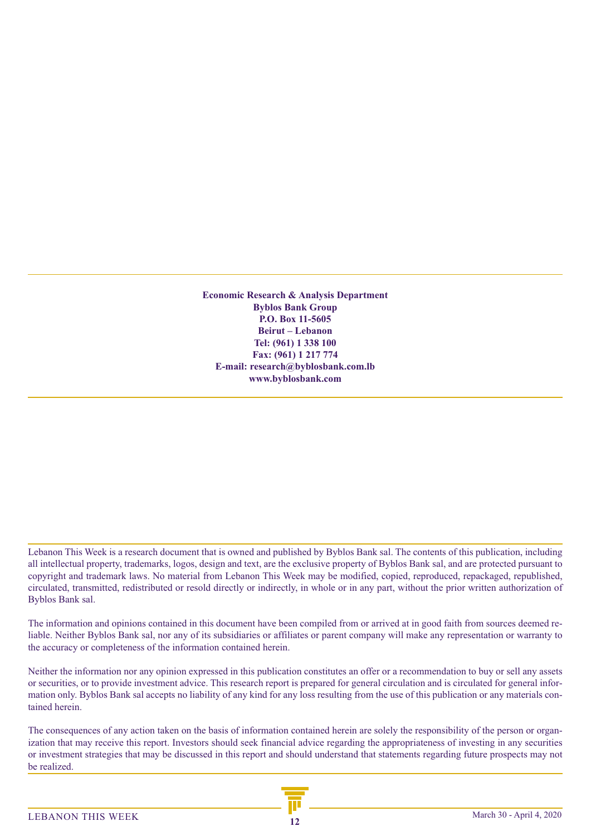**Economic Research & Analysis Department Byblos Bank Group P.O. Box 11-5605 Beirut – Lebanon Tel: (961) 1 338 100 Fax: (961) 1 217 774 E-mail: research@byblosbank.com.lb www.byblosbank.com**

Lebanon This Week is a research document that is owned and published by Byblos Bank sal. The contents of this publication, including all intellectual property, trademarks, logos, design and text, are the exclusive property of Byblos Bank sal, and are protected pursuant to copyright and trademark laws. No material from Lebanon This Week may be modified, copied, reproduced, repackaged, republished, circulated, transmitted, redistributed or resold directly or indirectly, in whole or in any part, without the prior written authorization of Byblos Bank sal.

The information and opinions contained in this document have been compiled from or arrived at in good faith from sources deemed reliable. Neither Byblos Bank sal, nor any of its subsidiaries or affiliates or parent company will make any representation or warranty to the accuracy or completeness of the information contained herein.

Neither the information nor any opinion expressed in this publication constitutes an offer or a recommendation to buy or sell any assets or securities, or to provide investment advice. This research report is prepared for general circulation and is circulated for general information only. Byblos Bank sal accepts no liability of any kind for any loss resulting from the use of this publication or any materials contained herein.

The consequences of any action taken on the basis of information contained herein are solely the responsibility of the person or organization that may receive this report. Investors should seek financial advice regarding the appropriateness of investing in any securities or investment strategies that may be discussed in this report and should understand that statements regarding future prospects may not be realized.